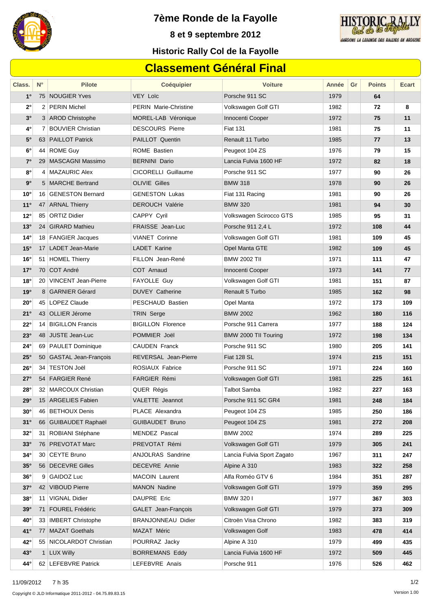

**7ème Ronde de la Fayolle**



**8 et 9 septembre 2012**

### **Historic Rally Col de la Fayolle**

# **Classement Général Final**

| Class.       | $N^{\circ}$ | <b>Pilote</b>           | <b>Coéquipier</b>            | <b>Voiture</b>             | Année | Gr | <b>Points</b> | Ecart |
|--------------|-------------|-------------------------|------------------------------|----------------------------|-------|----|---------------|-------|
| $1^{\circ}$  |             | 75 NOUGIER Yves         | <b>VEY Loïc</b>              | Porsche 911 SC             | 1979  |    | 64            |       |
| 2°           |             | 2 PERIN Michel          | <b>PERIN Marie-Christine</b> | Volkswagen Golf GTI        | 1982  |    | 72            | 8     |
| $3^\circ$    |             | 3 AROD Christophe       | MOREL-LAB Véronique          | Innocenti Cooper           | 1972  |    | 75            | 11    |
| 4°           |             | 7 BOUVIER Christian     | <b>DESCOURS Pierre</b>       | <b>Fiat 131</b>            | 1981  |    | 75            | 11    |
| $5^{\circ}$  |             | 63 PAILLOT Patrick      | PAILLOT Quentin              | Renault 11 Turbo           | 1985  |    | 77            | 13    |
| $6^{\circ}$  |             | 44 ROME Guy             | ROME Bastien                 | Peugeot 104 ZS             | 1976  |    | 79            | 15    |
| $7^{\circ}$  |             | 29 MASCAGNI Massimo     | <b>BERNINI Dario</b>         | Lancia Fulvia 1600 HF      | 1972  |    | 82            | 18    |
| 8°           |             | 4 MAZAURIC Alex         | CICORELLI Guillaume          | Porsche 911 SC             | 1977  |    | 90            | 26    |
| $9^{\circ}$  |             | 5 MARCHE Bertrand       | <b>OLIVIE Gilles</b>         | <b>BMW 318</b>             | 1978  |    | 90            | 26    |
| $10^{\circ}$ |             | 16 GENESTON Bernard     | <b>GENESTON Lukas</b>        | Fiat 131 Racing            | 1981  |    | 90            | 26    |
| $11^{\circ}$ |             | 47 ARNAL Thierry        | <b>DEROUCH Valérie</b>       | <b>BMW 320</b>             | 1981  |    | 94            | 30    |
| $12^{\circ}$ |             | 85 ORTIZ Didier         | CAPPY Cyril                  | Volkswagen Scirocco GTS    | 1985  |    | 95            | 31    |
| $13^\circ$   |             | 24 GIRARD Mathieu       | FRAISSE Jean-Luc             | Porsche 911 2,4 L          | 1972  |    | 108           | 44    |
| $14^{\circ}$ |             | 18 FANGIER Jacques      | <b>VIANET Corinne</b>        | Volkswagen Golf GTI        | 1981  |    | 109           | 45    |
| $15^\circ$   |             | 17 LADET Jean-Marie     | LADET Karine                 | Opel Manta GTE             | 1982  |    | 109           | 45    |
| $16^{\circ}$ |             | 51 HOMEL Thierry        | FILLON Jean-René             | <b>BMW 2002 TII</b>        | 1971  |    | 111           | 47    |
| 17°          |             | 70 COT André            | COT Arnaud                   | Innocenti Cooper           | 1973  |    | 141           | 77    |
| $18^\circ$   |             | 20 VINCENT Jean-Pierre  | FAYOLLE Guy                  | Volkswagen Golf GTI        | 1981  |    | 151           | 87    |
| 19°          |             | 8 GARNIER Gérard        | <b>DUVEY Catherine</b>       | Renault 5 Turbo            | 1985  |    | 162           | 98    |
| $20^{\circ}$ |             | 45   LOPEZ Claude       | PESCHAUD Bastien             | Opel Manta                 | 1972  |    | 173           | 109   |
| 21°          |             | 43 OLLIER Jérome        | <b>TRIN Serge</b>            | <b>BMW 2002</b>            | 1962  |    | 180           | 116   |
| $22^{\circ}$ |             | 14 BIGILLON Francis     | <b>BIGILLON Florence</b>     | Porsche 911 Carrera        | 1977  |    | 188           | 124   |
| $23^\circ$   |             | 48 JUSTE Jean-Luc       | POMMIER Joël                 | BMW 2000 TII Touring       | 1972  |    | 198           | 134   |
| $24^\circ$   |             | 69 PAULET Dominique     | <b>CAUDEN Franck</b>         | Porsche 911 SC             | 1980  |    | 205           | 141   |
| $25^\circ$   |             | 50 GASTAL Jean-François | <b>REVERSAL Jean-Pierre</b>  | Fiat 128 SL                | 1974  |    | 215           | 151   |
| $26^\circ$   |             | 34   TESTON Joël        | ROSIAUX Fabrice              | Porsche 911 SC             | 1971  |    | 224           | 160   |
| $27^\circ$   |             | 54 FARGIER René         | <b>FARGIER Rémi</b>          | Volkswagen Golf GTI        | 1981  |    | 225           | 161   |
| $28^\circ$   |             | 32   MARCOUX Christian  | QUER Régis                   | <b>Talbot Samba</b>        | 1982  |    | 227           | 163   |
| $29^\circ$   |             | 15 ARGELIES Fabien      | VALETTE Jeannot              | Porsche 911 SC GR4         | 1981  |    | 248           | 184   |
| $30^\circ$   |             | 46   BETHOUX Denis      | PLACE Alexandra              | Peugeot 104 ZS             | 1985  |    | 250           | 186   |
| $31^\circ$   |             | 66 GUIBAUDET Raphaël    | <b>GUIBAUDET Bruno</b>       | Peugeot 104 ZS             | 1981  |    | 272           | 208   |
| $32^\circ$   |             | 31 ROBIANI Stéphane     | MENDEZ Pascal                | <b>BMW 2002</b>            | 1974  |    | 289           | 225   |
| $33^\circ$   |             | 76 PREVOTAT Marc        | PREVOTAT Rémi                | Volkswagen Golf GTI        | 1979  |    | 305           | 241   |
| $34^\circ$   |             | 30 CEYTE Bruno          | ANJOLRAS Sandrine            | Lancia Fulvia Sport Zagato | 1967  |    | 311           | 247   |
| $35^\circ$   |             | 56 DECEVRE Gilles       | DECEVRE Annie                | Alpine A 310               | 1983  |    | 322           | 258   |
| $36^\circ$   |             | 9 GAIDOZ Luc            | MACOIN Laurent               | Alfa Roméo GTV 6           | 1984  |    | 351           | 287   |
| $37^\circ$   |             | 42 VIBOUD Pierre        | <b>MANON Nadine</b>          | Volkswagen Golf GTI        | 1979  |    | 359           | 295   |
| $38^\circ$   |             | 11 VIGNAL Didier        | DAUPRE Eric                  | BMW 320 I                  | 1977  |    | 367           | 303   |
| $39^\circ$   |             | 71 FOUREL Frédéric      | GALET Jean-François          | Volkswagen Golf GTI        | 1979  |    | 373           | 309   |
| $40^{\circ}$ |             | 33   IMBERT Christophe  | <b>BRANJONNEAU Didier</b>    | Citroën Visa Chrono        | 1982  |    | 383           | 319   |
| $41^{\circ}$ |             | 77 MAZAT Goethals       | MAZAT Méric                  | Volkswagen Golf            | 1983  |    | 478           | 414   |
| 42°          |             | 55 NICOLARDOT Christian | POURRAZ Jacky                | Alpine A 310               | 1979  |    | 499           | 435   |
| $43^\circ$   |             | 1 LUX Willy             | <b>BORREMANS Eddy</b>        | Lancia Fulvia 1600 HF      | 1972  |    | 509           | 445   |
| 44°          |             | 62 LEFEBVRE Patrick     | LEFEBVRE Anaïs               | Porsche 911                | 1976  |    | 526           | 462   |